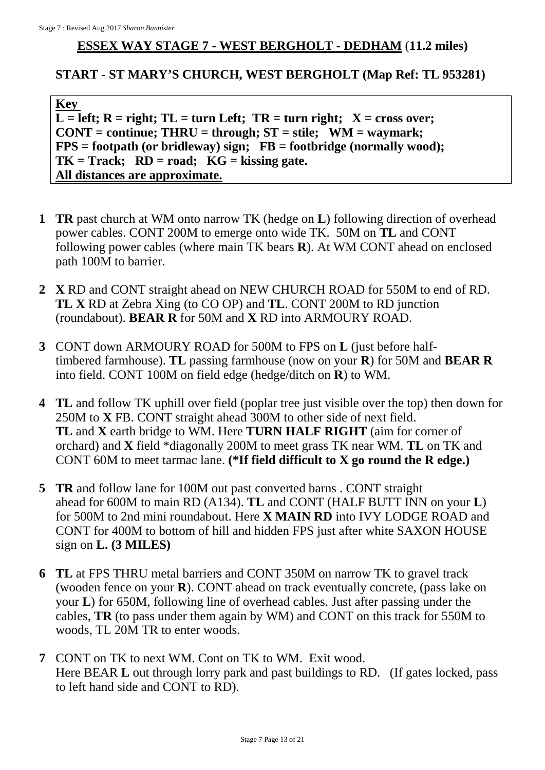## **ESSEX WAY STAGE 7 - WEST BERGHOLT - DEDHAM** (**11.2 miles)**

## **START - ST MARY'S CHURCH, WEST BERGHOLT (Map Ref: TL 953281)**

**Key**   $L = left$ ;  $R = right$ ;  $TL = turn Left$ ;  $TR = turn right$ ;  $X = cross over$ ; **CONT = continue; THRU = through; ST = stile; WM = waymark; FPS = footpath (or bridleway) sign; FB = footbridge (normally wood); TK = Track; RD = road; KG = kissing gate. All distances are approximate.**

- **1 TR** past church at WM onto narrow TK (hedge on **L**) following direction of overhead power cables. CONT 200M to emerge onto wide TK. 50M on **TL** and CONT following power cables (where main TK bears **R**). At WM CONT ahead on enclosed path 100M to barrier.
- **2 X** RD and CONT straight ahead on NEW CHURCH ROAD for 550M to end of RD. **TL X** RD at Zebra Xing (to CO OP) and **TL**. CONT 200M to RD junction (roundabout). **BEAR R** for 50M and **X** RD into ARMOURY ROAD.
- **3** CONT down ARMOURY ROAD for 500M to FPS on **L** (just before halftimbered farmhouse). **TL** passing farmhouse (now on your **R**) for 50M and **BEAR R** into field. CONT 100M on field edge (hedge/ditch on **R**) to WM.
- **4 TL** and follow TK uphill over field (poplar tree just visible over the top) then down for 250M to **X** FB. CONT straight ahead 300M to other side of next field. **TL** and **X** earth bridge to WM. Here **TURN HALF RIGHT** (aim for corner of orchard) and **X** field \*diagonally 200M to meet grass TK near WM. **TL** on TK and CONT 60M to meet tarmac lane. **(\*If field difficult to X go round the R edge.)**
- **5 TR** and follow lane for 100M out past converted barns . CONT straight ahead for 600M to main RD (A134). **TL** and CONT (HALF BUTT INN on your **L**) for 500M to 2nd mini roundabout. Here **X MAIN RD** into IVY LODGE ROAD and CONT for 400M to bottom of hill and hidden FPS just after white SAXON HOUSE sign on **L. (3 MILES)**
- **6 TL** at FPS THRU metal barriers and CONT 350M on narrow TK to gravel track (wooden fence on your **R**). CONT ahead on track eventually concrete, (pass lake on your **L**) for 650M, following line of overhead cables. Just after passing under the cables, **TR** (to pass under them again by WM) and CONT on this track for 550M to woods, TL 20M TR to enter woods.
- **7** CONT on TK to next WM. Cont on TK to WM. Exit wood. Here BEAR **L** out through lorry park and past buildings to RD. (If gates locked, pass to left hand side and CONT to RD).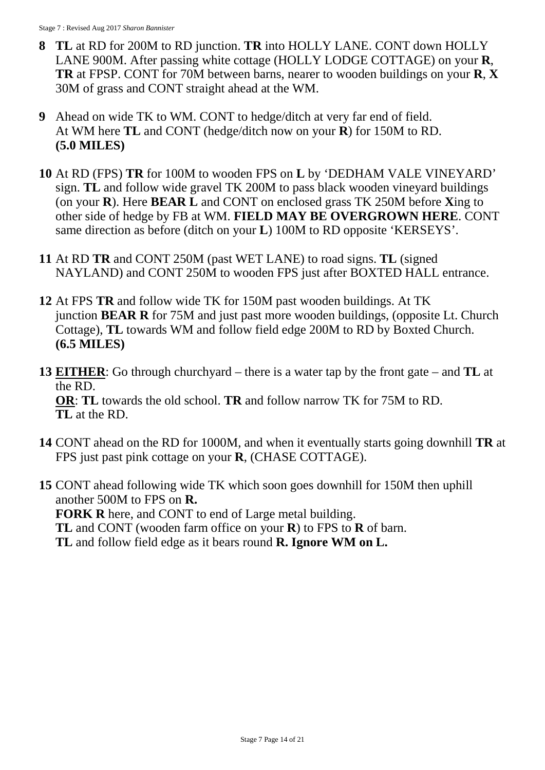- **8 TL** at RD for 200M to RD junction. **TR** into HOLLY LANE. CONT down HOLLY LANE 900M. After passing white cottage (HOLLY LODGE COTTAGE) on your **R**, **TR** at FPSP. CONT for 70M between barns, nearer to wooden buildings on your **R**, **X** 30M of grass and CONT straight ahead at the WM.
- **9** Ahead on wide TK to WM. CONT to hedge/ditch at very far end of field. At WM here **TL** and CONT (hedge/ditch now on your **R**) for 150M to RD. **(5.0 MILES)**
- **10** At RD (FPS) **TR** for 100M to wooden FPS on **L** by 'DEDHAM VALE VINEYARD' sign. **TL** and follow wide gravel TK 200M to pass black wooden vineyard buildings (on your **R**). Here **BEAR L** and CONT on enclosed grass TK 250M before **X**ing to other side of hedge by FB at WM. **FIELD MAY BE OVERGROWN HERE**. CONT same direction as before (ditch on your **L**) 100M to RD opposite 'KERSEYS'.
- **11** At RD **TR** and CONT 250M (past WET LANE) to road signs. **TL** (signed NAYLAND) and CONT 250M to wooden FPS just after BOXTED HALL entrance.
- **12** At FPS **TR** and follow wide TK for 150M past wooden buildings. At TK junction **BEAR R** for 75M and just past more wooden buildings, (opposite Lt. Church Cottage), **TL** towards WM and follow field edge 200M to RD by Boxted Church. **(6.5 MILES)**
- **13 EITHER**: Go through churchyard there is a water tap by the front gate and **TL** at the RD. **OR**: **TL** towards the old school. **TR** and follow narrow TK for 75M to RD. **TL** at the RD.
- **14** CONT ahead on the RD for 1000M, and when it eventually starts going downhill **TR** at FPS just past pink cottage on your **R**, (CHASE COTTAGE).
- **15** CONT ahead following wide TK which soon goes downhill for 150M then uphill another 500M to FPS on **R. FORK R** here, and CONT to end of Large metal building. **TL** and CONT (wooden farm office on your **R**) to FPS to **R** of barn. **TL** and follow field edge as it bears round **R. Ignore WM on L.**